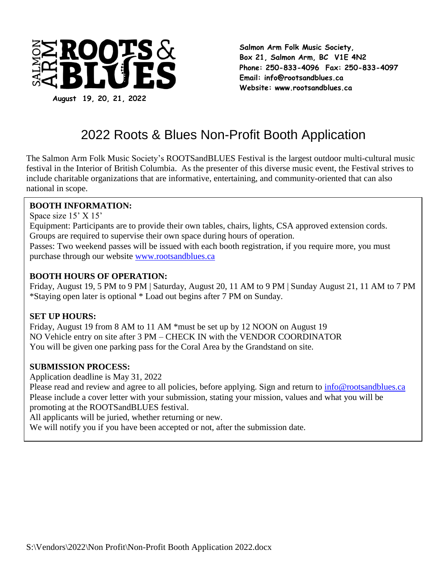

**Salmon Arm Folk Music Society, Box 21, Salmon Arm, BC V1E 4N2 Phone: 250-833-4096 Fax: 250-833-4097 Email: [info@rootsandblues.ca](mailto:info@rootsandblues.ca) Website: www.rootsandblues.ca**

# 2022 Roots & Blues Non-Profit Booth Application

The Salmon Arm Folk Music Society's ROOTSandBLUES Festival is the largest outdoor multi-cultural music festival in the Interior of British Columbia. As the presenter of this diverse music event, the Festival strives to include charitable organizations that are informative, entertaining, and community-oriented that can also national in scope.

#### **BOOTH INFORMATION:**

Space size 15' X 15'

Equipment: Participants are to provide their own tables, chairs, lights, CSA approved extension cords. Groups are required to supervise their own space during hours of operation.

Passes: Two weekend passes will be issued with each booth registration, if you require more, you must purchase through our website [www.rootsandblues.ca](http://www.rootsandblues.ca/)

#### **BOOTH HOURS OF OPERATION:**

Friday, August 19, 5 PM to 9 PM | Saturday, August 20, 11 AM to 9 PM | Sunday August 21, 11 AM to 7 PM \*Staying open later is optional \* Load out begins after 7 PM on Sunday.

### **SET UP HOURS:**

Friday, August 19 from 8 AM to 11 AM \*must be set up by 12 NOON on August 19 NO Vehicle entry on site after 3 PM – CHECK IN with the VENDOR COORDINATOR You will be given one parking pass for the Coral Area by the Grandstand on site.

### **SUBMISSION PROCESS:**

Application deadline is May 31, 2022

Please read and review and agree to all policies, before applying. Sign and return to [info@rootsandblues.ca](mailto:info@rootsandblues.ca) Please include a cover letter with your submission, stating your mission, values and what you will be promoting at the ROOTSandBLUES festival.

All applicants will be juried, whether returning or new.

We will notify you if you have been accepted or not, after the submission date.